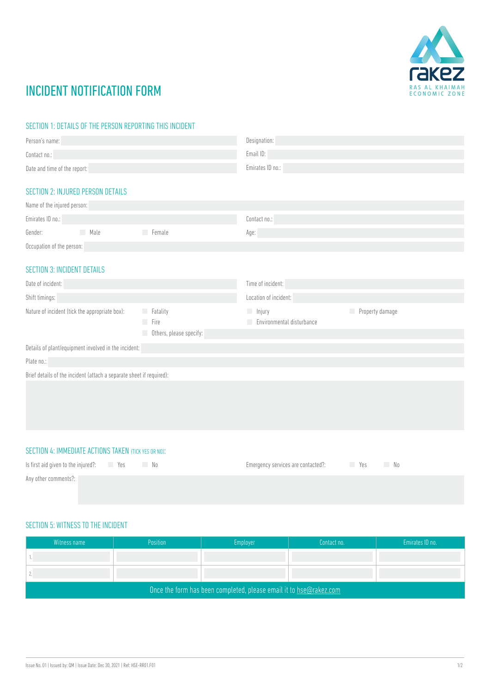

# INCIDENT NOTIFICATION FORM

#### SECTION 1: DETAILS OF THE PERSON REPORTING THIS INCIDENT

| Person's name:                                                       |             |                         | Designation:                    |                 |  |
|----------------------------------------------------------------------|-------------|-------------------------|---------------------------------|-----------------|--|
| Contact no.:                                                         |             |                         | Email ID:                       |                 |  |
| Date and time of the report:                                         |             |                         | Emirates ID no.:                |                 |  |
|                                                                      |             |                         |                                 |                 |  |
| <b>SECTION 2: INJURED PERSON DETAILS</b>                             |             |                         |                                 |                 |  |
| Name of the injured person:                                          |             |                         |                                 |                 |  |
| Emirates ID no.:                                                     |             |                         | Contact no.:                    |                 |  |
| Gender:                                                              | <b>Male</b> | Female                  | Age:                            |                 |  |
| Occupation of the person:                                            |             |                         |                                 |                 |  |
|                                                                      |             |                         |                                 |                 |  |
| <b>SECTION 3: INCIDENT DETAILS</b>                                   |             |                         |                                 |                 |  |
| Date of incident:                                                    |             |                         | Time of incident:               |                 |  |
| Shift timings:                                                       |             |                         | Location of incident:           |                 |  |
| Nature of incident (tick the appropriate box):                       |             | Fatality                | $\Box$ Injury                   | Property damage |  |
|                                                                      |             | Fire                    | Environmental disturbance<br>H. |                 |  |
|                                                                      |             | Others, please specify: |                                 |                 |  |
| Details of plant/equipment involved in the incident:                 |             |                         |                                 |                 |  |
| Plate no.:                                                           |             |                         |                                 |                 |  |
| Brief details of the incident (attach a separate sheet if required): |             |                         |                                 |                 |  |
|                                                                      |             |                         |                                 |                 |  |
|                                                                      |             |                         |                                 |                 |  |

#### SECTION 4: IMMEDIATE ACTIONS TAKEN (TICK YES OR NO):

| Is first aid given to the injured?: Yes | No. | Emergency services are contacted?: The Mes | No. |
|-----------------------------------------|-----|--------------------------------------------|-----|
| Any other comments?:                    |     |                                            |     |

### SECTION 5: WITNESS TO THE INCIDENT

| Witness name                                                       | Position | Employer | Contact no. | Emirates ID no. |  |
|--------------------------------------------------------------------|----------|----------|-------------|-----------------|--|
|                                                                    |          |          |             |                 |  |
|                                                                    |          |          |             |                 |  |
| Once the form has been completed, please email it to hse@rakez.com |          |          |             |                 |  |